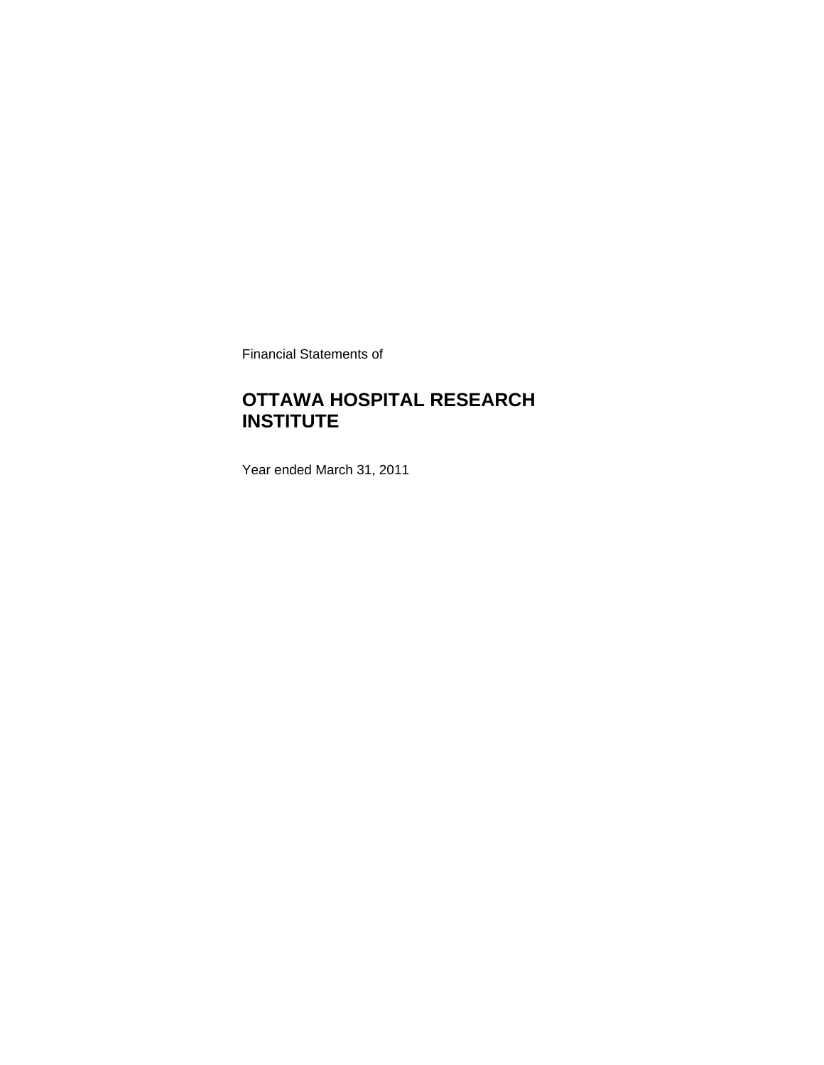Financial Statements of

### **OTTAWA HOSPITAL RESEARCH INSTITUTE**

Year ended March 31, 2011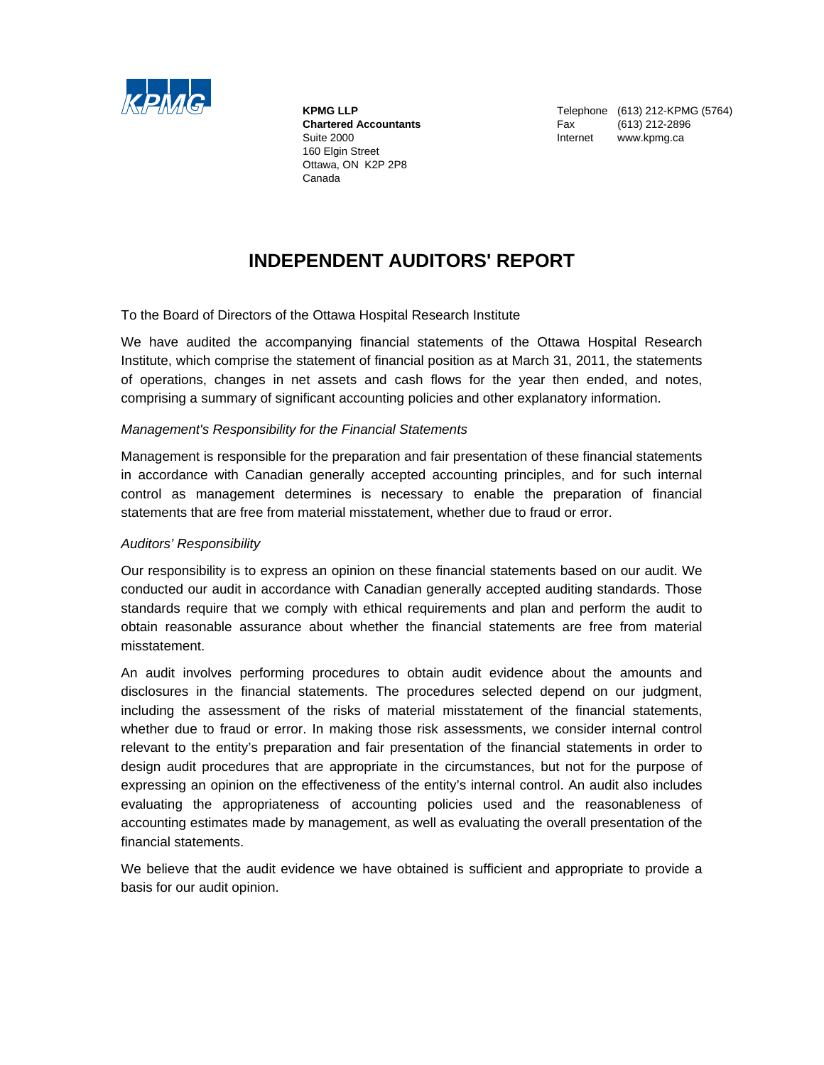

 160 Elgin Street Ottawa, ON K2P 2P8 Canada

**KPMG LLP** Telephone (613) 212-KPMG (5764) **Chartered Accountants Fax** (613) 212-2896 Suite 2000 **Internet www.kpmg.ca** 

# **INDEPENDENT AUDITORS' REPORT**

To the Board of Directors of the Ottawa Hospital Research Institute

We have audited the accompanying financial statements of the Ottawa Hospital Research Institute, which comprise the statement of financial position as at March 31, 2011, the statements of operations, changes in net assets and cash flows for the year then ended, and notes, comprising a summary of significant accounting policies and other explanatory information.

### *Management's Responsibility for the Financial Statements*

Management is responsible for the preparation and fair presentation of these financial statements in accordance with Canadian generally accepted accounting principles, and for such internal control as management determines is necessary to enable the preparation of financial statements that are free from material misstatement, whether due to fraud or error.

#### *Auditors' Responsibility*

Our responsibility is to express an opinion on these financial statements based on our audit. We conducted our audit in accordance with Canadian generally accepted auditing standards. Those standards require that we comply with ethical requirements and plan and perform the audit to obtain reasonable assurance about whether the financial statements are free from material misstatement.

An audit involves performing procedures to obtain audit evidence about the amounts and disclosures in the financial statements. The procedures selected depend on our judgment, including the assessment of the risks of material misstatement of the financial statements, whether due to fraud or error. In making those risk assessments, we consider internal control relevant to the entity's preparation and fair presentation of the financial statements in order to design audit procedures that are appropriate in the circumstances, but not for the purpose of expressing an opinion on the effectiveness of the entity's internal control. An audit also includes evaluating the appropriateness of accounting policies used and the reasonableness of accounting estimates made by management, as well as evaluating the overall presentation of the financial statements.

We believe that the audit evidence we have obtained is sufficient and appropriate to provide a basis for our audit opinion.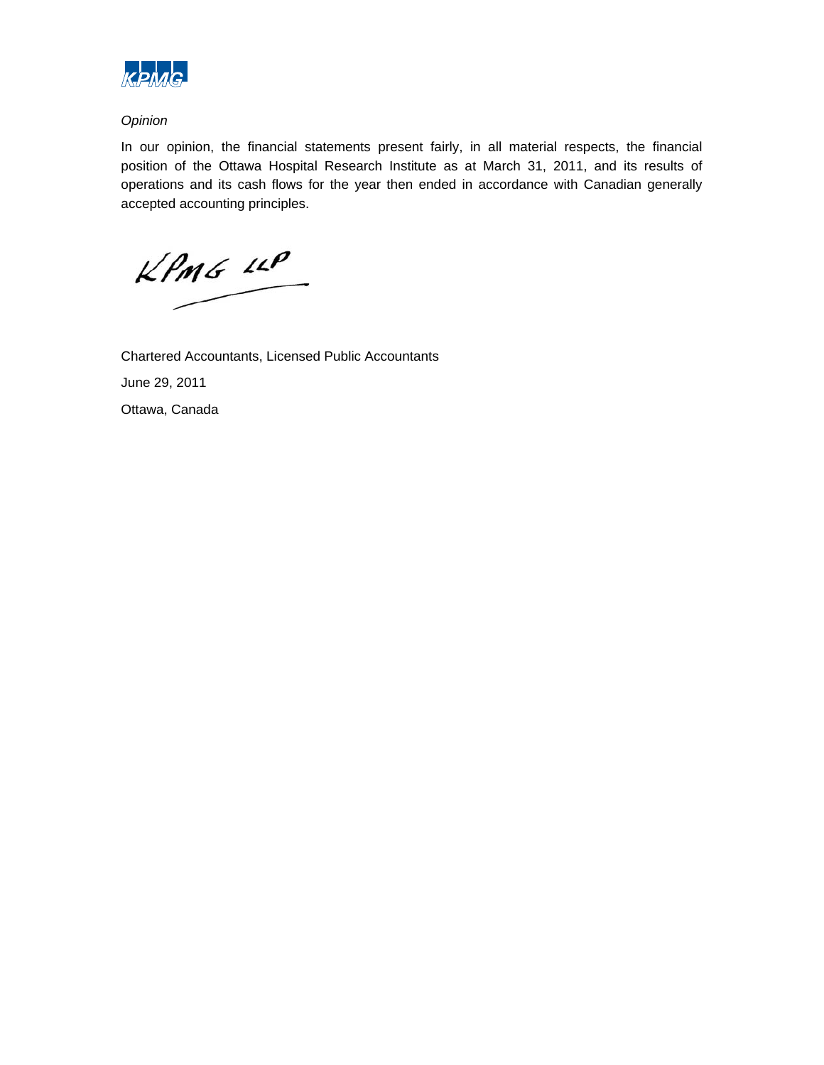

### *Opinion*

In our opinion, the financial statements present fairly, in all material respects, the financial position of the Ottawa Hospital Research Institute as at March 31, 2011, and its results of operations and its cash flows for the year then ended in accordance with Canadian generally accepted accounting principles.

 $KPMG$  14P

Chartered Accountants, Licensed Public Accountants June 29, 2011 Ottawa, Canada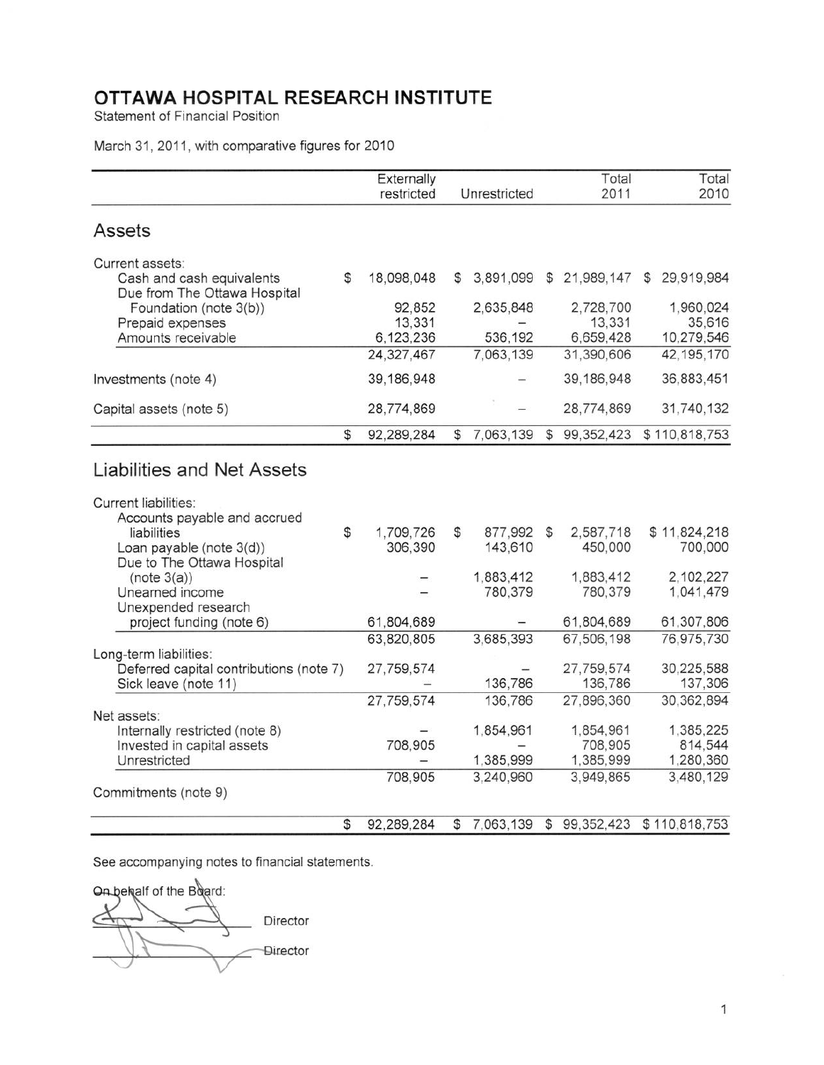**Statement of Financial Position** 

March 31, 2011, with comparative figures for 2010

|                                                                 | Externally   |    |              |    | Total        | Total            |
|-----------------------------------------------------------------|--------------|----|--------------|----|--------------|------------------|
|                                                                 | restricted   |    | Unrestricted |    | 2011         | 2010             |
| Assets                                                          |              |    |              |    |              |                  |
| Current assets:                                                 |              |    |              |    |              |                  |
| \$<br>Cash and cash equivalents<br>Due from The Ottawa Hospital | 18,098,048   | S  | 3,891,099    |    | \$21,989,147 | 29,919,984<br>\$ |
| Foundation (note 3(b))                                          | 92,852       |    | 2,635,848    |    | 2,728,700    | 1,960,024        |
| Prepaid expenses                                                | 13,331       |    |              |    | 13,331       | 35,616           |
| Amounts receivable                                              | 6,123,236    |    | 536,192      |    | 6,659,428    | 10,279,546       |
|                                                                 | 24,327,467   |    | 7,063,139    |    | 31,390,606   | 42, 195, 170     |
| Investments (note 4)                                            | 39, 186, 948 |    |              |    | 39, 186, 948 | 36,883,451       |
| Capital assets (note 5)                                         | 28,774,869   |    |              |    | 28,774,869   | 31,740,132       |
| \$                                                              | 92,289,284   | \$ | 7,063,139    | S  | 99, 352, 423 | \$110,818,753    |
| Current liabilities:<br>Accounts payable and accrued            |              |    |              |    |              |                  |
| \$<br>liabilities                                               | 1,709,726    | \$ | 877,992      | S  | 2,587,718    | \$11,824,218     |
| Loan payable (note 3(d))                                        | 306,390      |    | 143,610      |    | 450,000      | 700,000          |
| Due to The Ottawa Hospital                                      |              |    |              |    |              |                  |
| (note 3(a))                                                     |              |    | 1,883,412    |    | 1,883,412    | 2,102,227        |
| Unearned income                                                 |              |    | 780,379      |    | 780,379      | 1,041,479        |
| Unexpended research<br>project funding (note 6)                 | 61,804,689   |    |              |    | 61,804,689   | 61,307,806       |
|                                                                 | 63,820,805   |    | 3,685,393    |    | 67,506,198   | 76,975,730       |
| Long-term liabilities:                                          |              |    |              |    |              |                  |
| Deferred capital contributions (note 7)                         | 27,759,574   |    |              |    | 27,759,574   | 30,225,588       |
| Sick leave (note 11)                                            |              |    | 136,786      |    | 136,786      | 137,306          |
|                                                                 | 27,759,574   |    | 136,786      |    | 27,896,360   | 30,362,894       |
| Net assets:<br>Internally restricted (note 8)                   |              |    | 1,854,961    |    | 1,854,961    | 1,385,225        |
| Invested in capital assets                                      | 708,905      |    |              |    | 708,905      | 814,544          |
| Unrestricted                                                    |              |    | 1,385,999    |    | 1,385,999    | 1,280,360        |
|                                                                 | 708,905      |    | 3,240,960    |    | 3,949,865    | 3,480,129        |
| Commitments (note 9)                                            |              |    |              |    |              |                  |
| \$                                                              | 92,289,284   | \$ | 7,063,139    | \$ | 99, 352, 423 | \$110,818,753    |

On behalf of the Board: Director **Director**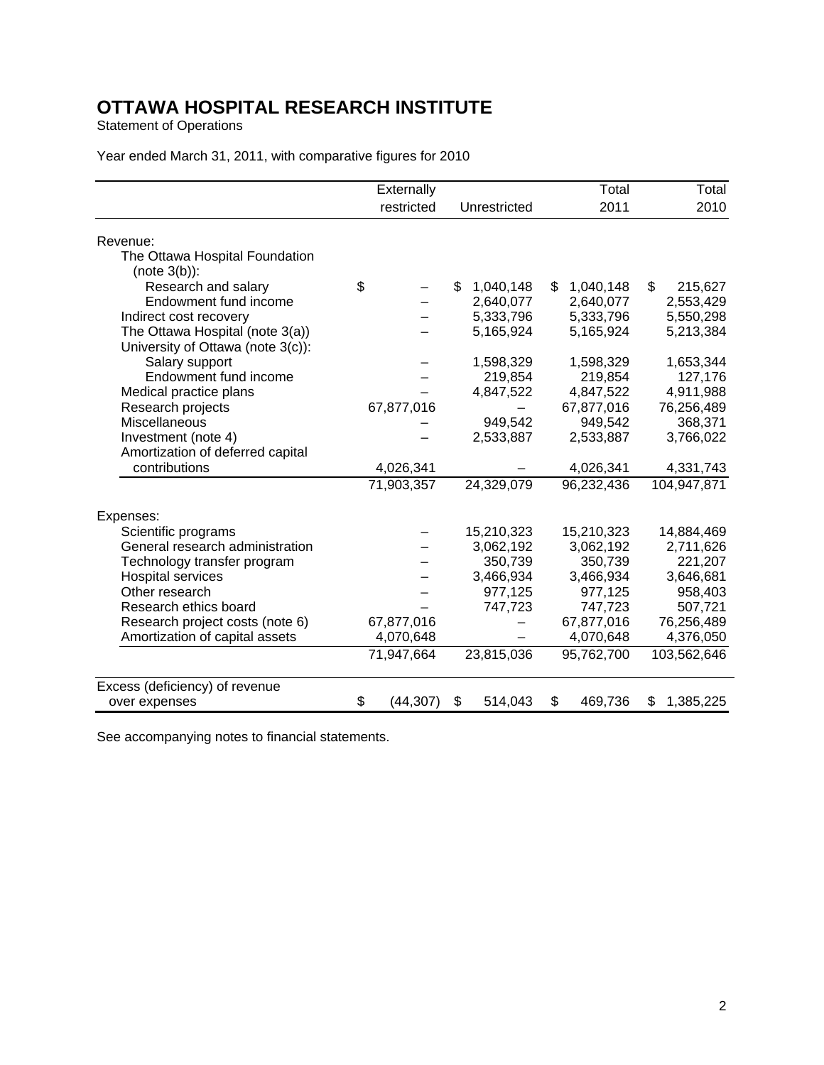Statement of Operations

|                                                   | Externally      |                 | Total           | Total           |
|---------------------------------------------------|-----------------|-----------------|-----------------|-----------------|
|                                                   | restricted      | Unrestricted    | 2011            | 2010            |
| Revenue:                                          |                 |                 |                 |                 |
| The Ottawa Hospital Foundation<br>$(note 3(b))$ : |                 |                 |                 |                 |
| Research and salary                               | \$              | \$<br>1,040,148 | \$<br>1,040,148 | \$<br>215,627   |
| Endowment fund income                             |                 | 2,640,077       | 2,640,077       | 2,553,429       |
| Indirect cost recovery                            |                 | 5,333,796       | 5,333,796       | 5,550,298       |
| The Ottawa Hospital (note 3(a))                   |                 | 5,165,924       | 5,165,924       | 5,213,384       |
| University of Ottawa (note 3(c)):                 |                 |                 |                 |                 |
| Salary support                                    |                 | 1,598,329       | 1,598,329       | 1,653,344       |
| Endowment fund income                             |                 | 219,854         | 219,854         | 127,176         |
| Medical practice plans                            |                 | 4,847,522       | 4,847,522       | 4,911,988       |
| Research projects                                 | 67,877,016      |                 | 67,877,016      | 76,256,489      |
| Miscellaneous                                     |                 | 949,542         | 949,542         | 368,371         |
| Investment (note 4)                               |                 | 2,533,887       | 2,533,887       | 3,766,022       |
| Amortization of deferred capital                  |                 |                 |                 |                 |
| contributions                                     | 4,026,341       |                 | 4,026,341       | 4,331,743       |
|                                                   | 71,903,357      | 24,329,079      | 96,232,436      | 104,947,871     |
| Expenses:                                         |                 |                 |                 |                 |
| Scientific programs                               |                 | 15,210,323      | 15,210,323      | 14,884,469      |
| General research administration                   |                 | 3,062,192       | 3,062,192       | 2,711,626       |
| Technology transfer program                       |                 | 350,739         | 350,739         | 221,207         |
| <b>Hospital services</b>                          |                 | 3,466,934       | 3,466,934       | 3,646,681       |
| Other research                                    |                 | 977,125         | 977,125         | 958,403         |
| Research ethics board                             |                 | 747,723         | 747,723         | 507,721         |
| Research project costs (note 6)                   | 67,877,016      |                 | 67,877,016      | 76,256,489      |
| Amortization of capital assets                    | 4,070,648       |                 | 4,070,648       | 4,376,050       |
|                                                   | 71,947,664      | 23,815,036      | 95,762,700      | 103,562,646     |
| Excess (deficiency) of revenue                    |                 |                 |                 |                 |
| over expenses                                     | \$<br>(44, 307) | \$<br>514,043   | \$<br>469,736   | \$<br>1,385,225 |

### Year ended March 31, 2011, with comparative figures for 2010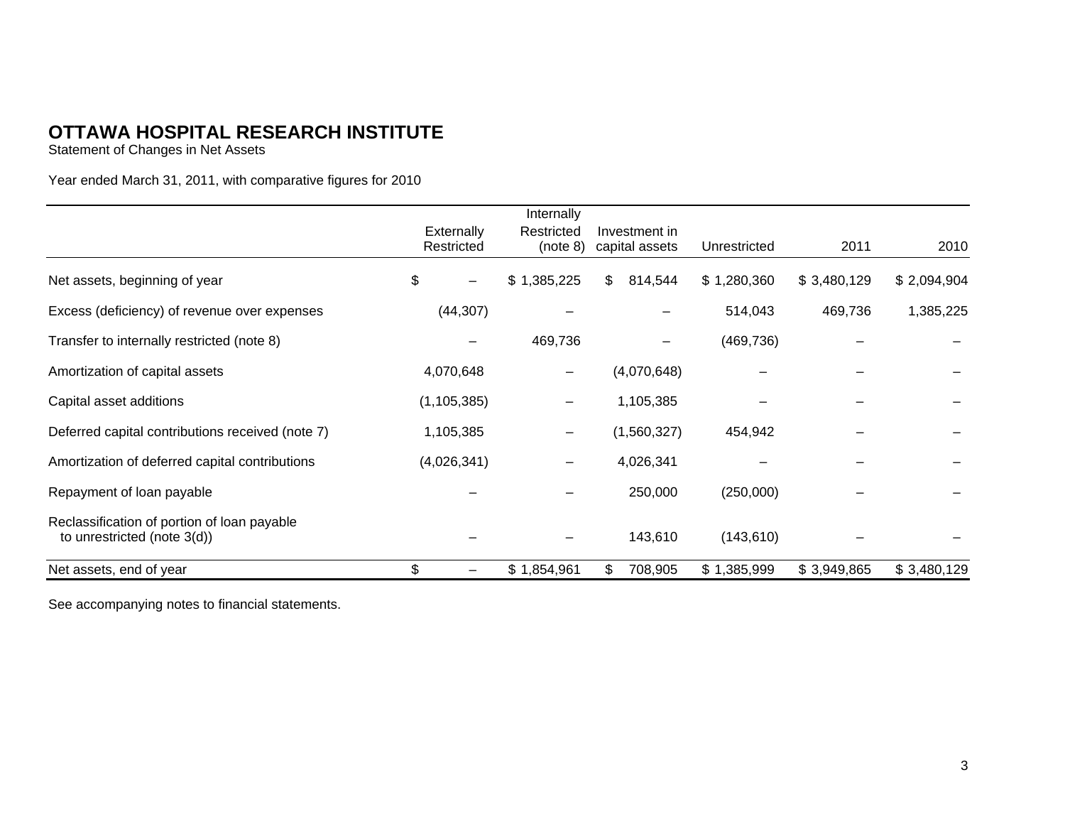Statement of Changes in Net Assets

Year ended March 31, 2011, with comparative figures for 2010

|                                                                            | Externally<br>Restricted       | Internally<br>Restricted<br>(note 8) |              | Investment in<br>capital assets | Unrestricted | 2011        | 2010        |
|----------------------------------------------------------------------------|--------------------------------|--------------------------------------|--------------|---------------------------------|--------------|-------------|-------------|
| Net assets, beginning of year                                              | \$<br>$\overline{\phantom{m}}$ | \$1,385,225                          | $\mathbb{S}$ | 814,544                         | \$1,280,360  | \$3,480,129 | \$2,094,904 |
| Excess (deficiency) of revenue over expenses                               | (44, 307)                      |                                      |              |                                 | 514,043      | 469,736     | 1,385,225   |
| Transfer to internally restricted (note 8)                                 | -                              | 469,736                              |              | —                               | (469, 736)   |             |             |
| Amortization of capital assets                                             | 4,070,648                      | -                                    |              | (4,070,648)                     |              |             |             |
| Capital asset additions                                                    | (1, 105, 385)                  | -                                    |              | 1,105,385                       |              |             |             |
| Deferred capital contributions received (note 7)                           | 1,105,385                      | —                                    |              | (1,560,327)                     | 454,942      |             |             |
| Amortization of deferred capital contributions                             | (4,026,341)                    | —                                    |              | 4,026,341                       |              |             |             |
| Repayment of loan payable                                                  |                                |                                      |              | 250,000                         | (250,000)    |             |             |
| Reclassification of portion of loan payable<br>to unrestricted (note 3(d)) |                                | —                                    |              | 143,610                         | (143, 610)   |             |             |
| Net assets, end of year                                                    | \$<br>$\overline{\phantom{0}}$ | \$1,854,961                          | \$           | 708,905                         | \$1,385,999  | \$3,949,865 | \$3,480,129 |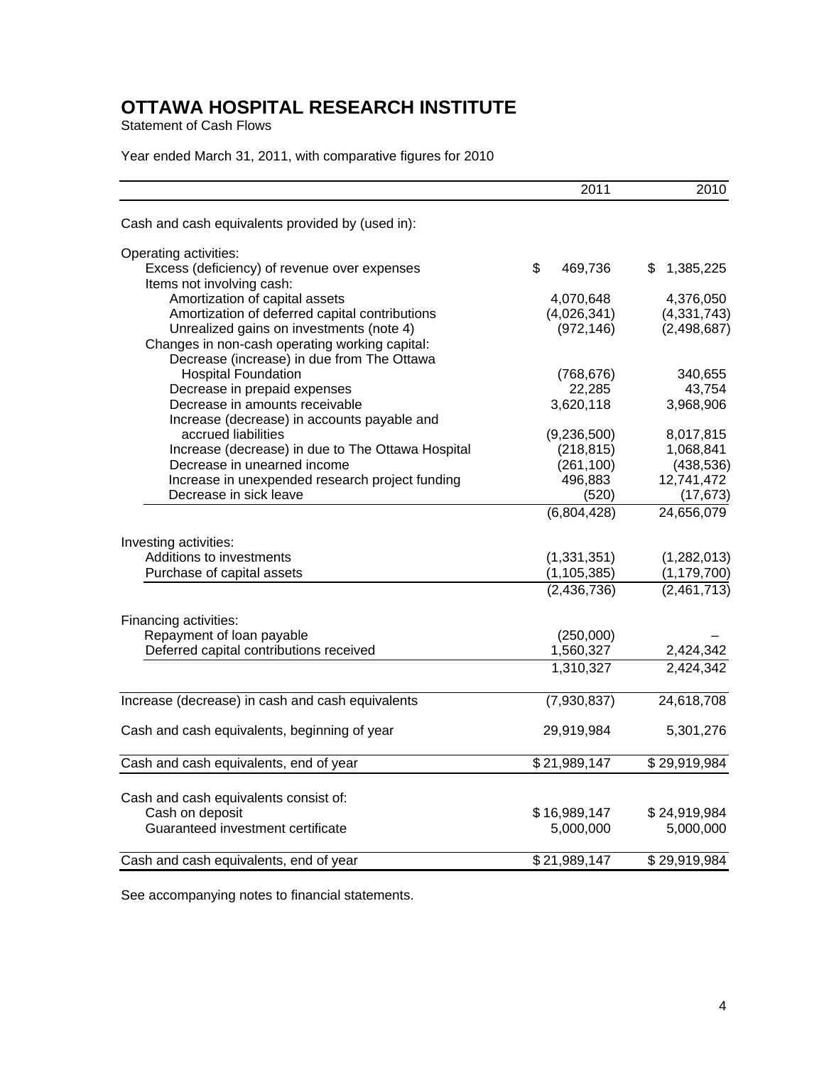Statement of Cash Flows

|                                                   | 2011          | 2010             |
|---------------------------------------------------|---------------|------------------|
| Cash and cash equivalents provided by (used in):  |               |                  |
| Operating activities:                             |               |                  |
| Excess (deficiency) of revenue over expenses      | \$<br>469,736 | 1,385,225<br>\$. |
| Items not involving cash:                         |               |                  |
| Amortization of capital assets                    | 4,070,648     | 4,376,050        |
| Amortization of deferred capital contributions    | (4,026,341)   | (4, 331, 743)    |
| Unrealized gains on investments (note 4)          | (972, 146)    | (2,498,687)      |
| Changes in non-cash operating working capital:    |               |                  |
| Decrease (increase) in due from The Ottawa        |               |                  |
| <b>Hospital Foundation</b>                        | (768, 676)    | 340,655          |
| Decrease in prepaid expenses                      | 22,285        | 43,754           |
| Decrease in amounts receivable                    | 3,620,118     | 3,968,906        |
| Increase (decrease) in accounts payable and       |               |                  |
| accrued liabilities                               | (9,236,500)   | 8,017,815        |
| Increase (decrease) in due to The Ottawa Hospital | (218, 815)    | 1,068,841        |
| Decrease in unearned income                       | (261, 100)    | (438, 536)       |
| Increase in unexpended research project funding   | 496,883       | 12,741,472       |
| Decrease in sick leave                            | (520)         | (17, 673)        |
|                                                   | (6,804,428)   | 24,656,079       |
| Investing activities:                             |               |                  |
| Additions to investments                          | (1, 331, 351) | (1,282,013)      |
| Purchase of capital assets                        | (1, 105, 385) | (1, 179, 700)    |
|                                                   | (2, 436, 736) | (2,461,713)      |
| Financing activities:                             |               |                  |
| Repayment of loan payable                         | (250,000)     |                  |
| Deferred capital contributions received           | 1,560,327     |                  |
|                                                   |               | 2,424,342        |
|                                                   | 1,310,327     | 2,424,342        |
| Increase (decrease) in cash and cash equivalents  | (7,930,837)   | 24,618,708       |
| Cash and cash equivalents, beginning of year      | 29,919,984    | 5,301,276        |
| Cash and cash equivalents, end of year            | \$21,989,147  | \$29,919,984     |
|                                                   |               |                  |
| Cash and cash equivalents consist of:             |               |                  |
| Cash on deposit                                   | \$16,989,147  | \$24,919,984     |
| Guaranteed investment certificate                 | 5,000,000     | 5,000,000        |
|                                                   | \$21,989,147  | \$29,919,984     |
| Cash and cash equivalents, end of year            |               |                  |

Year ended March 31, 2011, with comparative figures for 2010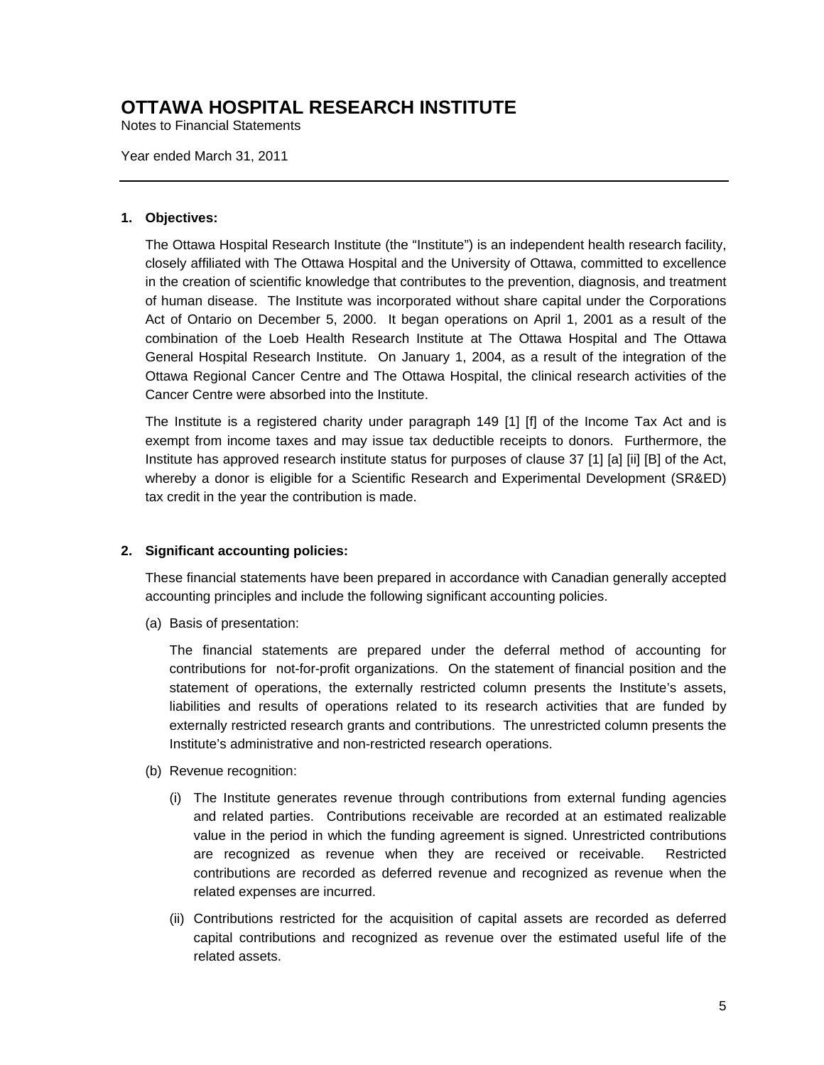Notes to Financial Statements

Year ended March 31, 2011

### **1. Objectives:**

The Ottawa Hospital Research Institute (the "Institute") is an independent health research facility, closely affiliated with The Ottawa Hospital and the University of Ottawa, committed to excellence in the creation of scientific knowledge that contributes to the prevention, diagnosis, and treatment of human disease. The Institute was incorporated without share capital under the Corporations Act of Ontario on December 5, 2000. It began operations on April 1, 2001 as a result of the combination of the Loeb Health Research Institute at The Ottawa Hospital and The Ottawa General Hospital Research Institute. On January 1, 2004, as a result of the integration of the Ottawa Regional Cancer Centre and The Ottawa Hospital, the clinical research activities of the Cancer Centre were absorbed into the Institute.

The Institute is a registered charity under paragraph 149 [1] [f] of the Income Tax Act and is exempt from income taxes and may issue tax deductible receipts to donors. Furthermore, the Institute has approved research institute status for purposes of clause 37 [1] [a] [ii] [B] of the Act, whereby a donor is eligible for a Scientific Research and Experimental Development (SR&ED) tax credit in the year the contribution is made.

### **2. Significant accounting policies:**

These financial statements have been prepared in accordance with Canadian generally accepted accounting principles and include the following significant accounting policies.

(a) Basis of presentation:

The financial statements are prepared under the deferral method of accounting for contributions for not-for-profit organizations. On the statement of financial position and the statement of operations, the externally restricted column presents the Institute's assets, liabilities and results of operations related to its research activities that are funded by externally restricted research grants and contributions. The unrestricted column presents the Institute's administrative and non-restricted research operations.

- (b) Revenue recognition:
	- (i) The Institute generates revenue through contributions from external funding agencies and related parties. Contributions receivable are recorded at an estimated realizable value in the period in which the funding agreement is signed. Unrestricted contributions are recognized as revenue when they are received or receivable. Restricted contributions are recorded as deferred revenue and recognized as revenue when the related expenses are incurred.
	- (ii) Contributions restricted for the acquisition of capital assets are recorded as deferred capital contributions and recognized as revenue over the estimated useful life of the related assets.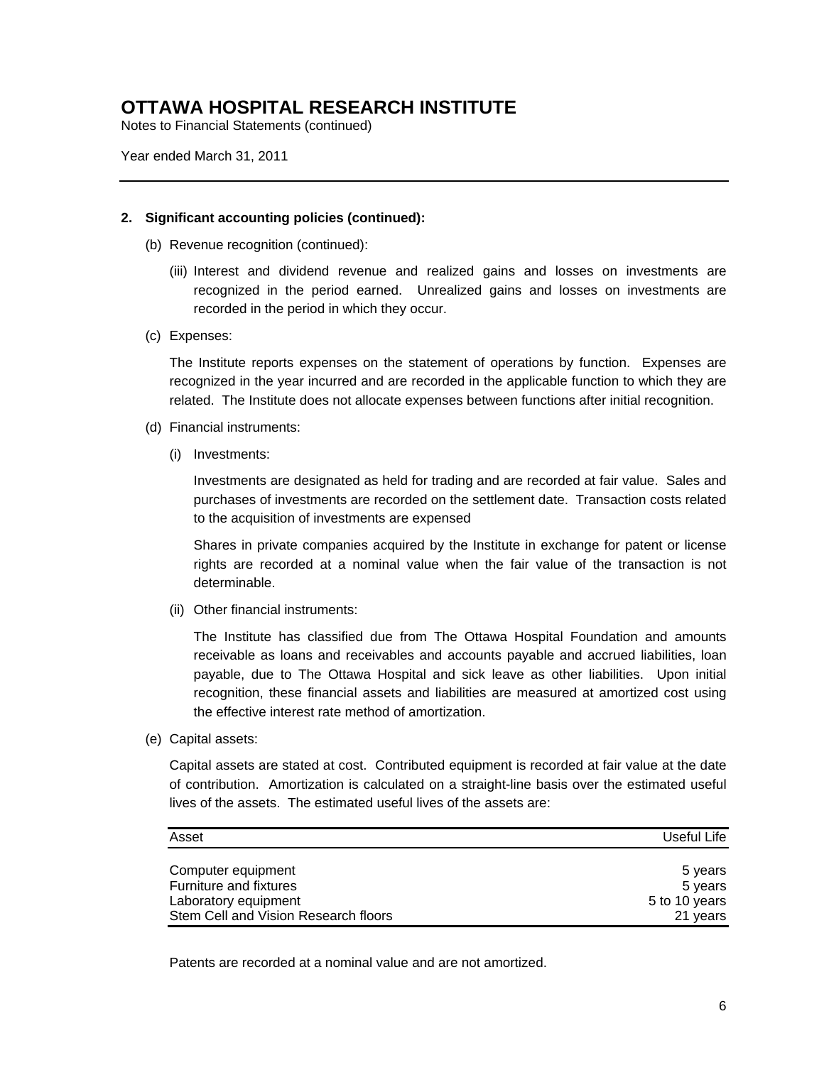Notes to Financial Statements (continued)

Year ended March 31, 2011

#### **2. Significant accounting policies (continued):**

- (b) Revenue recognition (continued):
	- (iii) Interest and dividend revenue and realized gains and losses on investments are recognized in the period earned. Unrealized gains and losses on investments are recorded in the period in which they occur.
- (c) Expenses:

The Institute reports expenses on the statement of operations by function. Expenses are recognized in the year incurred and are recorded in the applicable function to which they are related. The Institute does not allocate expenses between functions after initial recognition.

- (d) Financial instruments:
	- (i) Investments:

Investments are designated as held for trading and are recorded at fair value. Sales and purchases of investments are recorded on the settlement date. Transaction costs related to the acquisition of investments are expensed

Shares in private companies acquired by the Institute in exchange for patent or license rights are recorded at a nominal value when the fair value of the transaction is not determinable.

(ii) Other financial instruments:

The Institute has classified due from The Ottawa Hospital Foundation and amounts receivable as loans and receivables and accounts payable and accrued liabilities, loan payable, due to The Ottawa Hospital and sick leave as other liabilities. Upon initial recognition, these financial assets and liabilities are measured at amortized cost using the effective interest rate method of amortization.

(e) Capital assets:

Capital assets are stated at cost. Contributed equipment is recorded at fair value at the date of contribution. Amortization is calculated on a straight-line basis over the estimated useful lives of the assets. The estimated useful lives of the assets are:

| Asset                                | Useful Life   |
|--------------------------------------|---------------|
| Computer equipment                   | 5 years       |
| Furniture and fixtures               | 5 years       |
| Laboratory equipment                 | 5 to 10 years |
| Stem Cell and Vision Research floors | 21 years      |

Patents are recorded at a nominal value and are not amortized.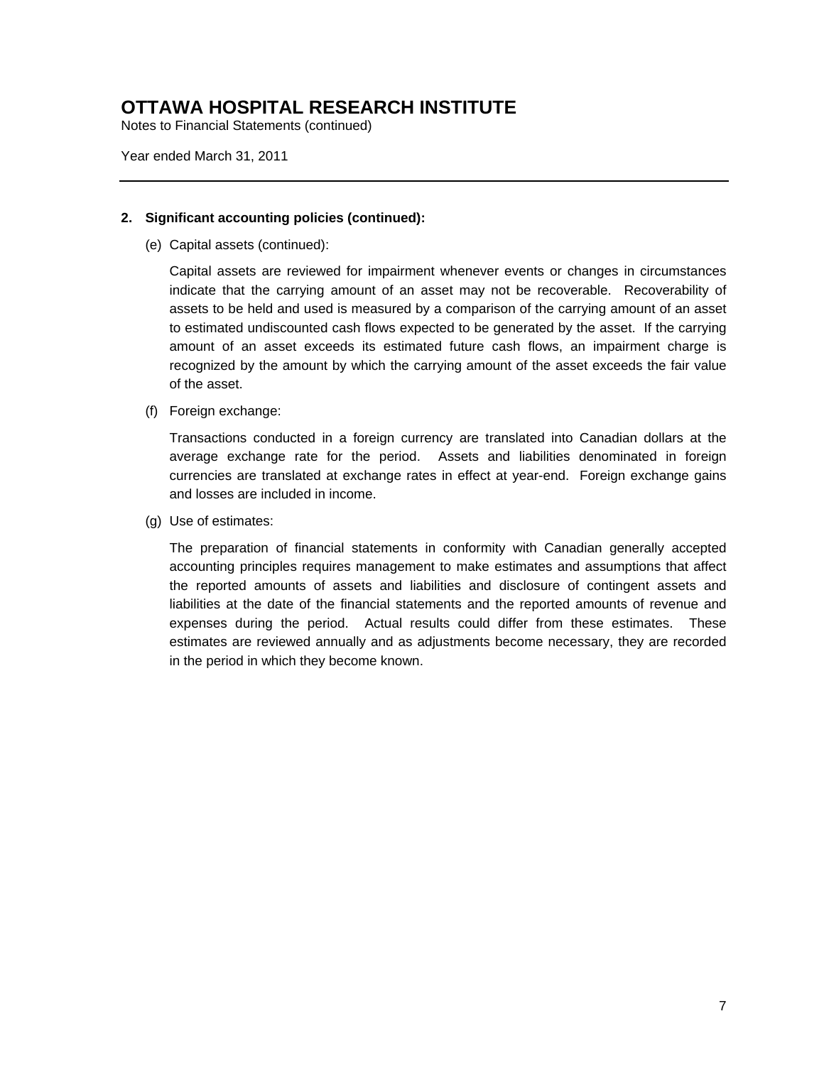Notes to Financial Statements (continued)

Year ended March 31, 2011

#### **2. Significant accounting policies (continued):**

(e) Capital assets (continued):

Capital assets are reviewed for impairment whenever events or changes in circumstances indicate that the carrying amount of an asset may not be recoverable. Recoverability of assets to be held and used is measured by a comparison of the carrying amount of an asset to estimated undiscounted cash flows expected to be generated by the asset. If the carrying amount of an asset exceeds its estimated future cash flows, an impairment charge is recognized by the amount by which the carrying amount of the asset exceeds the fair value of the asset.

(f) Foreign exchange:

Transactions conducted in a foreign currency are translated into Canadian dollars at the average exchange rate for the period. Assets and liabilities denominated in foreign currencies are translated at exchange rates in effect at year-end. Foreign exchange gains and losses are included in income.

(g) Use of estimates:

The preparation of financial statements in conformity with Canadian generally accepted accounting principles requires management to make estimates and assumptions that affect the reported amounts of assets and liabilities and disclosure of contingent assets and liabilities at the date of the financial statements and the reported amounts of revenue and expenses during the period. Actual results could differ from these estimates. These estimates are reviewed annually and as adjustments become necessary, they are recorded in the period in which they become known.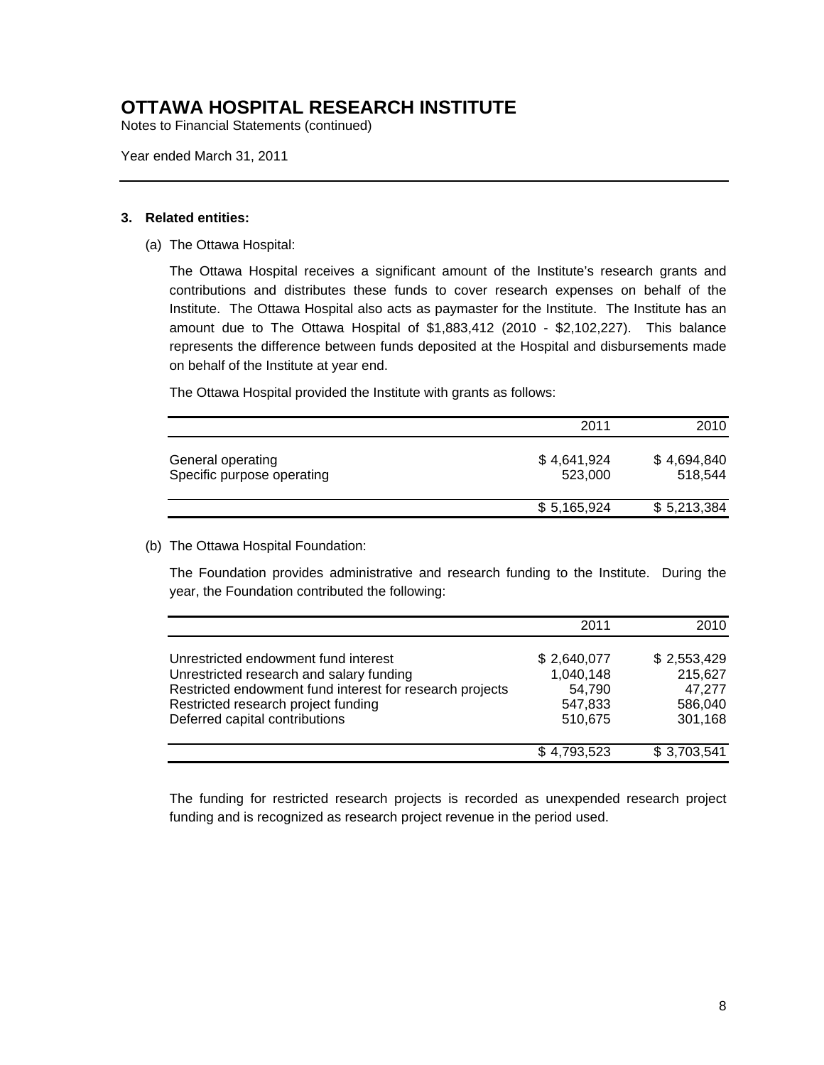Notes to Financial Statements (continued)

Year ended March 31, 2011

### **3. Related entities:**

(a) The Ottawa Hospital:

The Ottawa Hospital receives a significant amount of the Institute's research grants and contributions and distributes these funds to cover research expenses on behalf of the Institute. The Ottawa Hospital also acts as paymaster for the Institute. The Institute has an amount due to The Ottawa Hospital of \$1,883,412 (2010 - \$2,102,227). This balance represents the difference between funds deposited at the Hospital and disbursements made on behalf of the Institute at year end.

The Ottawa Hospital provided the Institute with grants as follows:

|                                                 | 2011                   | 2010                   |
|-------------------------------------------------|------------------------|------------------------|
| General operating<br>Specific purpose operating | \$4,641,924<br>523.000 | \$4,694,840<br>518.544 |
|                                                 | \$5,165,924            | \$5,213,384            |

#### (b) The Ottawa Hospital Foundation:

The Foundation provides administrative and research funding to the Institute. During the year, the Foundation contributed the following:

|                                                                                                                                                                                                                       | 2011                                                     | 2010                                                   |
|-----------------------------------------------------------------------------------------------------------------------------------------------------------------------------------------------------------------------|----------------------------------------------------------|--------------------------------------------------------|
| Unrestricted endowment fund interest<br>Unrestricted research and salary funding<br>Restricted endowment fund interest for research projects<br>Restricted research project funding<br>Deferred capital contributions | \$2,640,077<br>1,040,148<br>54,790<br>547,833<br>510,675 | \$2,553,429<br>215,627<br>47,277<br>586,040<br>301,168 |
|                                                                                                                                                                                                                       | \$4,793,523                                              | \$3,703,541                                            |

The funding for restricted research projects is recorded as unexpended research project funding and is recognized as research project revenue in the period used.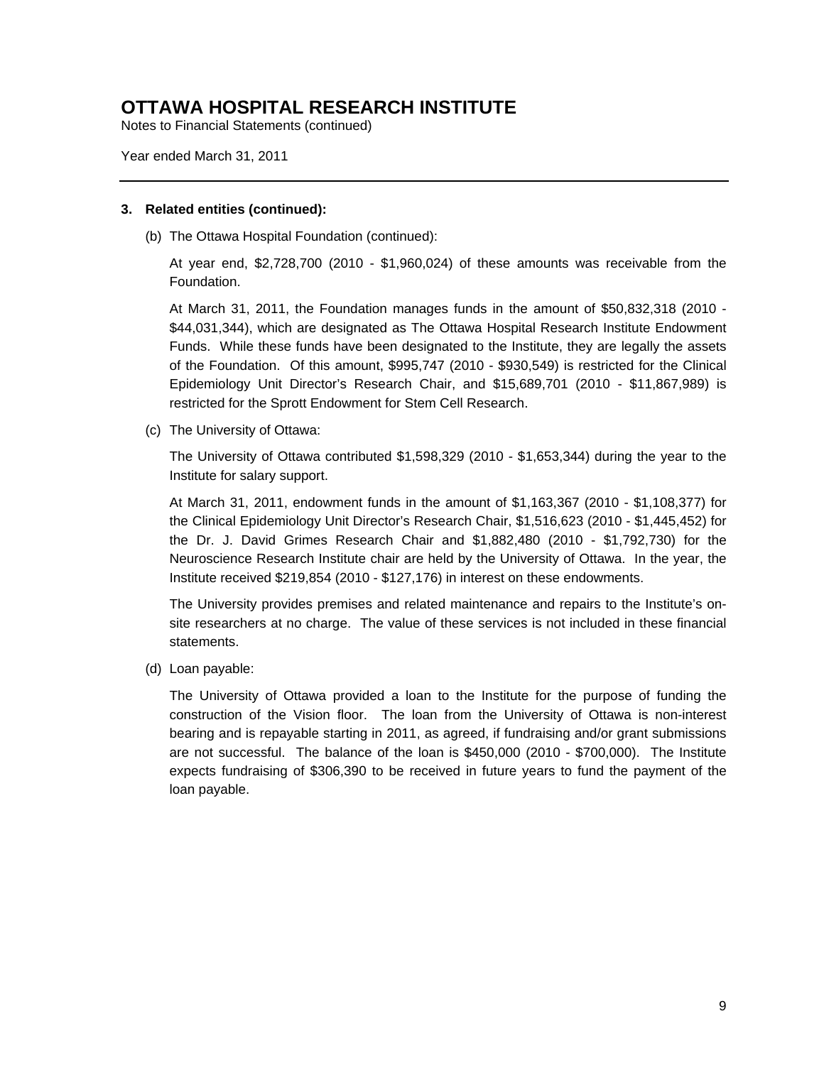Notes to Financial Statements (continued)

Year ended March 31, 2011

#### **3. Related entities (continued):**

(b) The Ottawa Hospital Foundation (continued):

At year end, \$2,728,700 (2010 - \$1,960,024) of these amounts was receivable from the Foundation.

At March 31, 2011, the Foundation manages funds in the amount of \$50,832,318 (2010 - \$44,031,344), which are designated as The Ottawa Hospital Research Institute Endowment Funds. While these funds have been designated to the Institute, they are legally the assets of the Foundation. Of this amount, \$995,747 (2010 - \$930,549) is restricted for the Clinical Epidemiology Unit Director's Research Chair, and \$15,689,701 (2010 - \$11,867,989) is restricted for the Sprott Endowment for Stem Cell Research.

(c) The University of Ottawa:

The University of Ottawa contributed \$1,598,329 (2010 - \$1,653,344) during the year to the Institute for salary support.

At March 31, 2011, endowment funds in the amount of \$1,163,367 (2010 - \$1,108,377) for the Clinical Epidemiology Unit Director's Research Chair, \$1,516,623 (2010 - \$1,445,452) for the Dr. J. David Grimes Research Chair and \$1,882,480 (2010 - \$1,792,730) for the Neuroscience Research Institute chair are held by the University of Ottawa. In the year, the Institute received \$219,854 (2010 - \$127,176) in interest on these endowments.

The University provides premises and related maintenance and repairs to the Institute's onsite researchers at no charge. The value of these services is not included in these financial statements.

(d) Loan payable:

The University of Ottawa provided a loan to the Institute for the purpose of funding the construction of the Vision floor. The loan from the University of Ottawa is non-interest bearing and is repayable starting in 2011, as agreed, if fundraising and/or grant submissions are not successful. The balance of the loan is \$450,000 (2010 - \$700,000). The Institute expects fundraising of \$306,390 to be received in future years to fund the payment of the loan payable.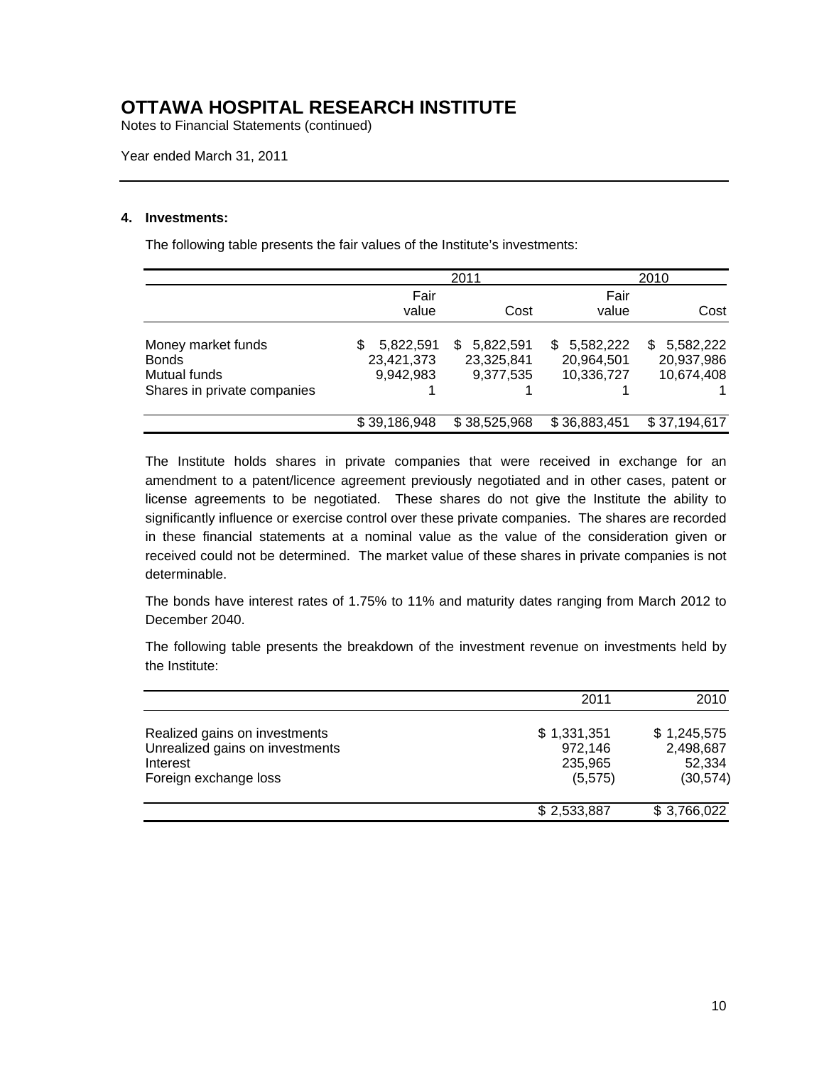Notes to Financial Statements (continued)

Year ended March 31, 2011

### **4. Investments:**

The following table presents the fair values of the Institute's investments:

|                                                                                   |                                           |                                             | 2010                                       |                                             |
|-----------------------------------------------------------------------------------|-------------------------------------------|---------------------------------------------|--------------------------------------------|---------------------------------------------|
|                                                                                   | Fair<br>value                             | Cost                                        | Fair<br>value                              | Cost                                        |
| Money market funds<br><b>Bonds</b><br>Mutual funds<br>Shares in private companies | 5,822,591<br>S<br>23,421,373<br>9,942,983 | 5,822,591<br>\$.<br>23,325,841<br>9,377,535 | 5,582,222<br>S<br>20,964,501<br>10,336,727 | 5,582,222<br>S.<br>20,937,986<br>10,674,408 |
|                                                                                   | \$39,186,948                              | \$38,525,968                                | \$36,883,451                               | \$37,194,617                                |

The Institute holds shares in private companies that were received in exchange for an amendment to a patent/licence agreement previously negotiated and in other cases, patent or license agreements to be negotiated. These shares do not give the Institute the ability to significantly influence or exercise control over these private companies. The shares are recorded in these financial statements at a nominal value as the value of the consideration given or received could not be determined. The market value of these shares in private companies is not determinable.

The bonds have interest rates of 1.75% to 11% and maturity dates ranging from March 2012 to December 2040.

The following table presents the breakdown of the investment revenue on investments held by the Institute:

|                                                                                                       | 2011                                          | 2010                                            |
|-------------------------------------------------------------------------------------------------------|-----------------------------------------------|-------------------------------------------------|
| Realized gains on investments<br>Unrealized gains on investments<br>Interest<br>Foreign exchange loss | \$1,331,351<br>972,146<br>235,965<br>(5, 575) | \$1,245,575<br>2,498,687<br>52,334<br>(30, 574) |
|                                                                                                       | \$2,533,887                                   | \$3,766,022                                     |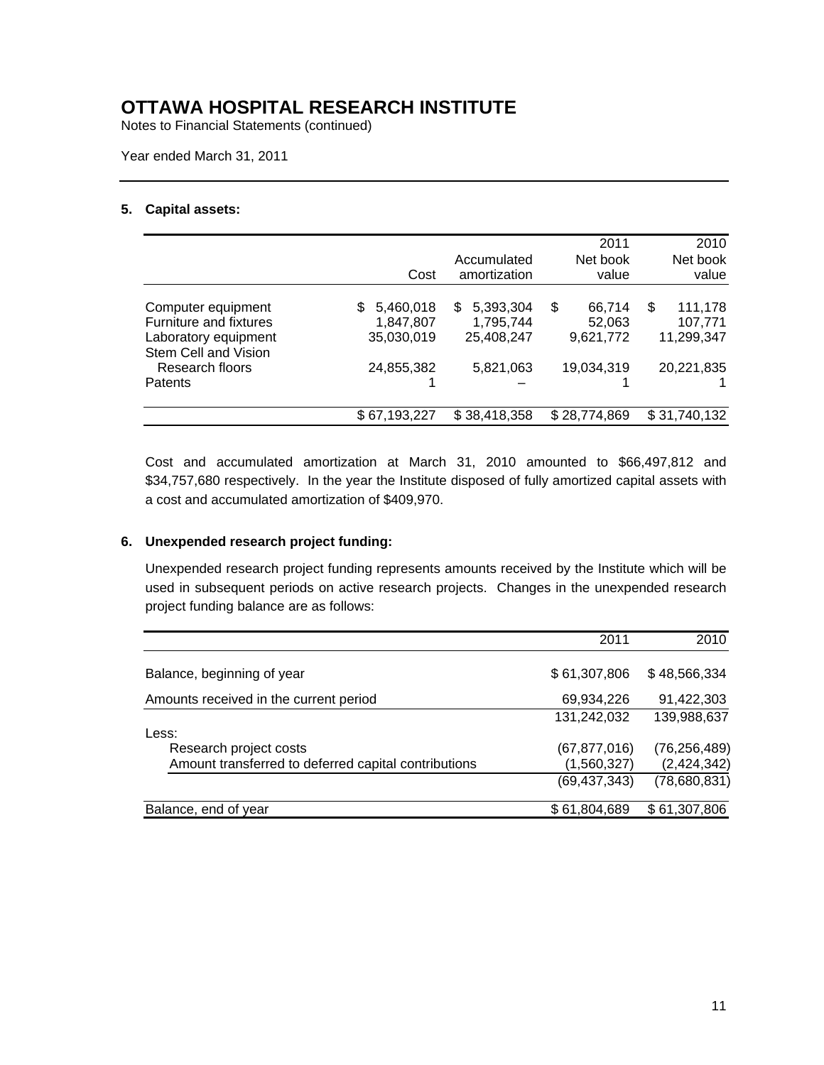Notes to Financial Statements (continued)

Year ended March 31, 2011

### **5. Capital assets:**

|                                                                                              | Cost                                        | Accumulated<br>amortization                 | 2011<br>Net book<br>value          | 2010<br>Net book<br>value              |
|----------------------------------------------------------------------------------------------|---------------------------------------------|---------------------------------------------|------------------------------------|----------------------------------------|
| Computer equipment<br>Furniture and fixtures<br>Laboratory equipment<br>Stem Cell and Vision | 5,460,018<br>\$.<br>1,847,807<br>35,030,019 | 5,393,304<br>\$.<br>1,795,744<br>25,408,247 | S<br>66,714<br>52,063<br>9,621,772 | 111,178<br>\$<br>107,771<br>11,299,347 |
| Research floors<br>Patents                                                                   | 24,855,382                                  | 5,821,063                                   | 19,034,319                         | 20,221,835                             |
|                                                                                              | \$67,193,227                                | \$38,418,358                                | \$28,774,869                       | \$31,740,132                           |

Cost and accumulated amortization at March 31, 2010 amounted to \$66,497,812 and \$34,757,680 respectively. In the year the Institute disposed of fully amortized capital assets with a cost and accumulated amortization of \$409,970.

### **6. Unexpended research project funding:**

Unexpended research project funding represents amounts received by the Institute which will be used in subsequent periods on active research projects. Changes in the unexpended research project funding balance are as follows:

|                                                      | 2011           | 2010           |
|------------------------------------------------------|----------------|----------------|
| Balance, beginning of year                           | \$61,307,806   | \$48,566,334   |
| Amounts received in the current period               | 69,934,226     | 91,422,303     |
|                                                      | 131,242,032    | 139,988,637    |
| Less:                                                |                |                |
| Research project costs                               | (67, 877, 016) | (76, 256, 489) |
| Amount transferred to deferred capital contributions | (1,560,327)    | (2,424,342)    |
|                                                      | (69, 437, 343) | (78,680,831)   |
| Balance, end of year                                 | \$61,804,689   | \$61,307,806   |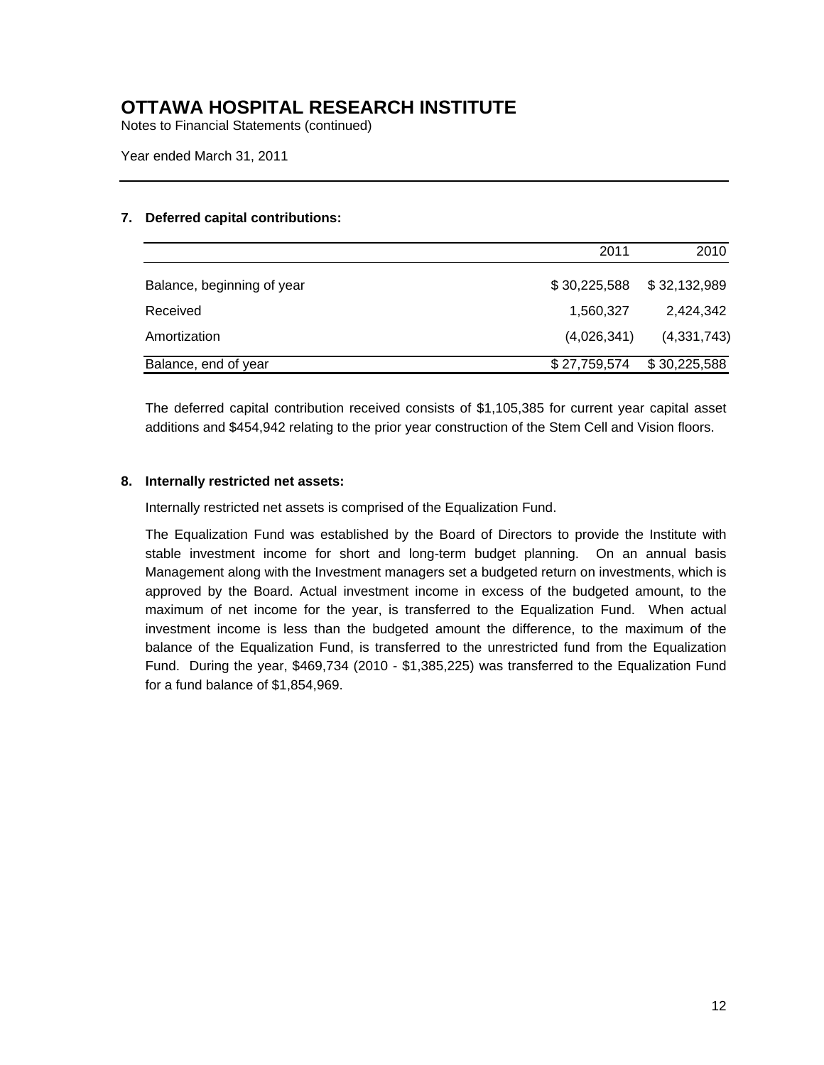Notes to Financial Statements (continued)

Year ended March 31, 2011

### **7. Deferred capital contributions:**

|                            | 2011         | 2010         |
|----------------------------|--------------|--------------|
| Balance, beginning of year | \$30,225,588 | \$32,132,989 |
| Received                   | 1,560,327    | 2,424,342    |
| Amortization               | (4,026,341)  | (4,331,743)  |
| Balance, end of year       | \$27,759,574 | \$30,225,588 |

The deferred capital contribution received consists of \$1,105,385 for current year capital asset additions and \$454,942 relating to the prior year construction of the Stem Cell and Vision floors.

### **8. Internally restricted net assets:**

Internally restricted net assets is comprised of the Equalization Fund.

The Equalization Fund was established by the Board of Directors to provide the Institute with stable investment income for short and long-term budget planning. On an annual basis Management along with the Investment managers set a budgeted return on investments, which is approved by the Board. Actual investment income in excess of the budgeted amount, to the maximum of net income for the year, is transferred to the Equalization Fund. When actual investment income is less than the budgeted amount the difference, to the maximum of the balance of the Equalization Fund, is transferred to the unrestricted fund from the Equalization Fund. During the year, \$469,734 (2010 - \$1,385,225) was transferred to the Equalization Fund for a fund balance of \$1,854,969.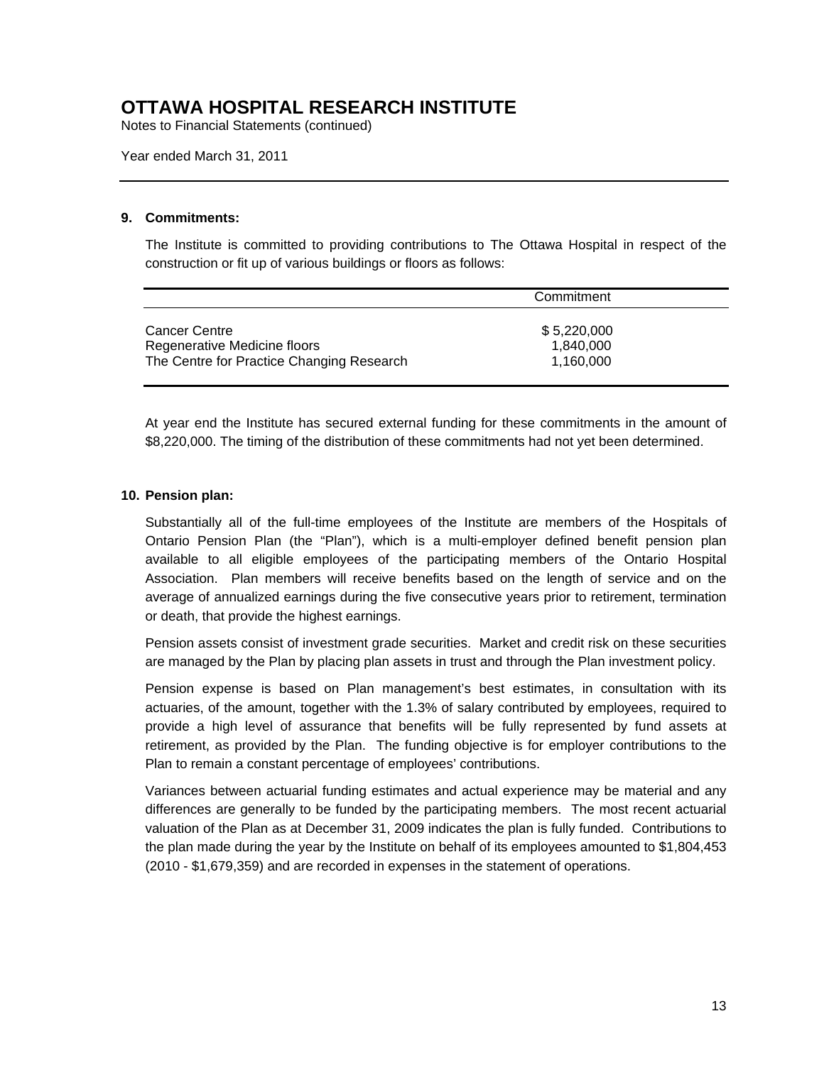Notes to Financial Statements (continued)

Year ended March 31, 2011

#### **9. Commitments:**

The Institute is committed to providing contributions to The Ottawa Hospital in respect of the construction or fit up of various buildings or floors as follows:

|                                                                                                   | Commitment                            |  |
|---------------------------------------------------------------------------------------------------|---------------------------------------|--|
| <b>Cancer Centre</b><br>Regenerative Medicine floors<br>The Centre for Practice Changing Research | \$5,220,000<br>1,840,000<br>1.160.000 |  |

At year end the Institute has secured external funding for these commitments in the amount of \$8,220,000. The timing of the distribution of these commitments had not yet been determined.

### **10. Pension plan:**

Substantially all of the full-time employees of the Institute are members of the Hospitals of Ontario Pension Plan (the "Plan"), which is a multi-employer defined benefit pension plan available to all eligible employees of the participating members of the Ontario Hospital Association. Plan members will receive benefits based on the length of service and on the average of annualized earnings during the five consecutive years prior to retirement, termination or death, that provide the highest earnings.

Pension assets consist of investment grade securities. Market and credit risk on these securities are managed by the Plan by placing plan assets in trust and through the Plan investment policy.

Pension expense is based on Plan management's best estimates, in consultation with its actuaries, of the amount, together with the 1.3% of salary contributed by employees, required to provide a high level of assurance that benefits will be fully represented by fund assets at retirement, as provided by the Plan. The funding objective is for employer contributions to the Plan to remain a constant percentage of employees' contributions.

Variances between actuarial funding estimates and actual experience may be material and any differences are generally to be funded by the participating members. The most recent actuarial valuation of the Plan as at December 31, 2009 indicates the plan is fully funded. Contributions to the plan made during the year by the Institute on behalf of its employees amounted to \$1,804,453 (2010 - \$1,679,359) and are recorded in expenses in the statement of operations.